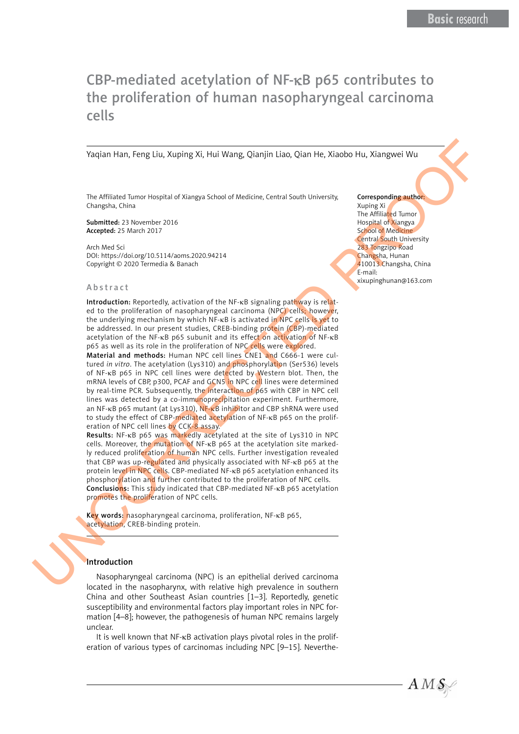# CBP-mediated acetylation of NF-κB p65 contributes to the proliferation of human nasopharyngeal carcinoma cells

Yaqian Han, Feng Liu, Xuping Xi, Hui Wang, Qianjin Liao, Qian He, Xiaobo Hu, Xiangwei Wu

The Affiliated Tumor Hospital of Xiangya School of Medicine, Central South University, Changsha, China

Submitted: 23 November 2016 Accepted: 25 March 2017

Arch Med Sci DOI: https://doi.org/10.5114/aoms.2020.94214 Copyright © 2020 Termedia & Banach

#### Abstract

Introduction: Reportedly, activation of the NF-κB signaling pathway is related to the proliferation of nasopharyngeal carcinoma (NPC) cells; however, the underlying mechanism by which NF-κB is activated in NPC cells is yet to be addressed. In our present studies, CREB-binding protein (CBP)-mediated acetylation of the NF-κB p65 subunit and its effect on activation of NF-κB p65 as well as its role in the proliferation of NPC cells were explored.

Material and methods: Human NPC cell lines CNE1 and C666-1 were cultured *in vitro*. The acetylation (Lys310) and phosphorylation (Ser536) levels of NF-κB p65 in NPC cell lines were detected by Western blot. Then, the mRNA levels of CBP, p300, PCAF and GCN5 in NPC cell lines were determined by real-time PCR. Subsequently, the interaction of p65 with CBP in NPC cell lines was detected by a co-immunoprecipitation experiment. Furthermore, an NF-κB p65 mutant (at Lys310), NF-κB inhibitor and CBP shRNA were used to study the effect of CBP-mediated acetylation of NF-κB p65 on the proliferation of NPC cell lines by CCK-8 assay. Yackan Ham, Ferry Litu, Kuoling XI, Hai Wang, Qiamjin Liko, Qiam He, Xiaobo Hu, Xiangwei Wa<br>
The Villent Literature of the Villent Cherokee of the Villent Center of the Villent Center of the Villent Center of the Villent

Results: NF-κB p65 was markedly acetylated at the site of Lys310 in NPC cells. Moreover, the mutation of NF-κB p65 at the acetylation site markedly reduced proliferation of human NPC cells. Further investigation revealed that CBP was up-regulated and physically associated with NF-κB p65 at the protein level in NPC cells. CBP-mediated NF-κB p65 acetylation enhanced its phosphorylation and further contributed to the proliferation of NPC cells. Conclusions: This study indicated that CBP-mediated NF-κB p65 acetylation promotes the proliferation of NPC cells.

Key words: nasopharyngeal carcinoma, proliferation, NF-κB p65, acetylation, CREB-binding protein.

## Introduction

Nasopharyngeal carcinoma (NPC) is an epithelial derived carcinoma located in the nasopharynx, with relative high prevalence in southern China and other Southeast Asian countries [1–3]. Reportedly, genetic susceptibility and environmental factors play important roles in NPC formation [4–8]; however, the pathogenesis of human NPC remains largely unclear.

It is well known that NF-κB activation plays pivotal roles in the proliferation of various types of carcinomas including NPC [9–15]. NevertheCorresponding author: Xuping Xi The Affiliated Tumor Hospital of Xiangya School of Medicine Central South University 283 Tongzipo Road Changsha, Hunan 410013 Changsha, China E-mail: xixupinghunan@163.com

 $AMS$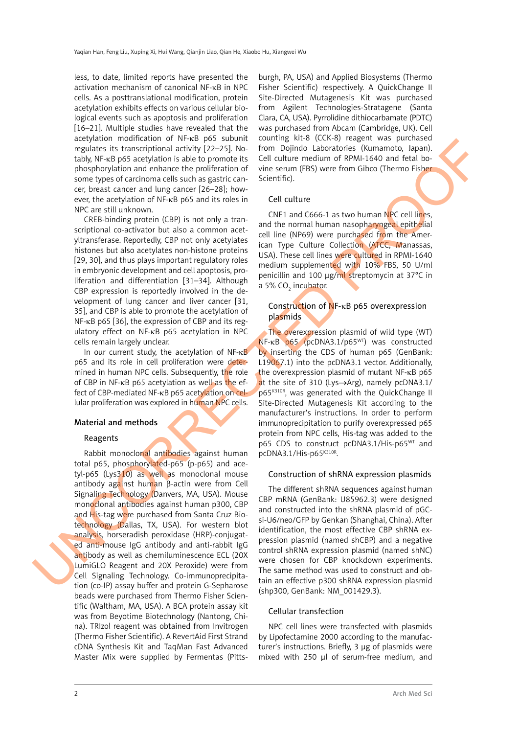less, to date, limited reports have presented the activation mechanism of canonical NF-κB in NPC cells. As a posttranslational modification, protein acetylation exhibits effects on various cellular biological events such as apoptosis and proliferation [16–21]. Multiple studies have revealed that the acetylation modification of NF-κB p65 subunit regulates its transcriptional activity [22–25]. Notably, NF-κB p65 acetylation is able to promote its phosphorylation and enhance the proliferation of some types of carcinoma cells such as gastric cancer, breast cancer and lung cancer [26–28]; however, the acetylation of NF-κB p65 and its roles in NPC are still unknown.

CREB-binding protein (CBP) is not only a transcriptional co-activator but also a common acetyltransferase. Reportedly, CBP not only acetylates histones but also acetylates non-histone proteins [29, 30], and thus plays important regulatory roles in embryonic development and cell apoptosis, proliferation and differentiation [31–34]. Although CBP expression is reportedly involved in the development of lung cancer and liver cancer [31, 35], and CBP is able to promote the acetylation of NF-κB p65 [36], the expression of CBP and its regulatory effect on NF-κB p65 acetylation in NPC cells remain largely unclear.

In our current study, the acetylation of NF-κB p65 and its role in cell proliferation were determined in human NPC cells. Subsequently, the role of CBP in NF-κB p65 acetylation as well as the effect of CBP-mediated NF-κB p65 acetylation on cellular proliferation was explored in human NPC cells.

## Material and methods

# Reagents

Rabbit monoclonal antibodies against human total p65, phosphorylated-p65 (p-p65) and acetyl-p65 (Lys310) as well as monoclonal mouse antibody against human β-actin were from Cell Signaling Technology (Danvers, MA, USA). Mouse monoclonal antibodies against human p300, CBP and His-tag were purchased from Santa Cruz Biotechnology (Dallas, TX, USA). For western blot analysis, horseradish peroxidase (HRP)-conjugated anti-mouse IgG antibody and anti-rabbit IgG antibody as well as chemiluminescence ECL (20X LumiGLO Reagent and 20X Peroxide) were from Cell Signaling Technology. Co-immunoprecipitation (co-IP) assay buffer and protein G-Sepharose beads were purchased from Thermo Fisher Scientific (Waltham, MA, USA). A BCA protein assay kit was from Beyotime Biotechnology (Nantong, China). TRIzol reagent was obtained from Invitrogen (Thermo Fisher Scientific). A RevertAid First Strand cDNA Synthesis Kit and TaqMan Fast Advanced Master Mix were supplied by Fermentas (Pittssometimes in a material and the proposition of the state of the state of the state of the state of the state of the state of the state of the state of the state of the state of the state of the state of the state of the s

burgh, PA, USA) and Applied Biosystems (Thermo Fisher Scientific) respectively. A QuickChange II Site-Directed Mutagenesis Kit was purchased from Agilent Technologies-Stratagene (Santa Clara, CA, USA). Pyrrolidine dithiocarbamate (PDTC) was purchased from Abcam (Cambridge, UK). Cell counting kit-8 (CCK-8) reagent was purchased from Dojindo Laboratories (Kumamoto, Japan). Cell culture medium of RPMI-1640 and fetal bovine serum (FBS) were from Gibco (Thermo Fisher Scientific).

## Cell culture

CNE1 and C666-1 as two human NPC cell lines, and the normal human nasopharyngeal epithelial cell line (NP69) were purchased from the American Type Culture Collection (ATCC, Manassas, USA). These cell lines were cultured in RPMI-1640 medium supplemented with 10% FBS, 50 U/ml penicillin and 100 μg/ml streptomycin at 37°C in a 5% CO<sub>2</sub> incubator.

# Construction of NF-κB p65 overexpression plasmids

The overexpression plasmid of wild type (WT) NF-κB p65 (pcDNA3.1/p65WT) was constructed by inserting the CDS of human p65 (GenBank: L19067.1) into the pcDNA3.1 vector. Additionally. the overexpression plasmid of mutant NF-κB p65 at the site of 310 (Lys→Arg), namely pcDNA3.1/ p65<sup>K310R</sup>, was generated with the QuickChange II Site-Directed Mutagenesis Kit according to the manufacturer's instructions. In order to perform immunoprecipitation to purify overexpressed p65 protein from NPC cells, His-tag was added to the p65 CDS to construct pcDNA3.1/His-p65<sup>WT</sup> and pcDNA3.1/His-p65K310R.

## Construction of shRNA expression plasmids

The different shRNA sequences against human CBP mRNA (GenBank: U85962.3) were designed and constructed into the shRNA plasmid of pGCsi-U6/neo/GFP by Genkan (Shanghai, China). After identification, the most effective CBP shRNA expression plasmid (named shCBP) and a negative control shRNA expression plasmid (named shNC) were chosen for CBP knockdown experiments. The same method was used to construct and obtain an effective p300 shRNA expression plasmid (shp300, GenBank: NM\_001429.3).

## Cellular transfection

NPC cell lines were transfected with plasmids by Lipofectamine 2000 according to the manufacturer's instructions. Briefly, 3 µg of plasmids were mixed with 250 µl of serum-free medium, and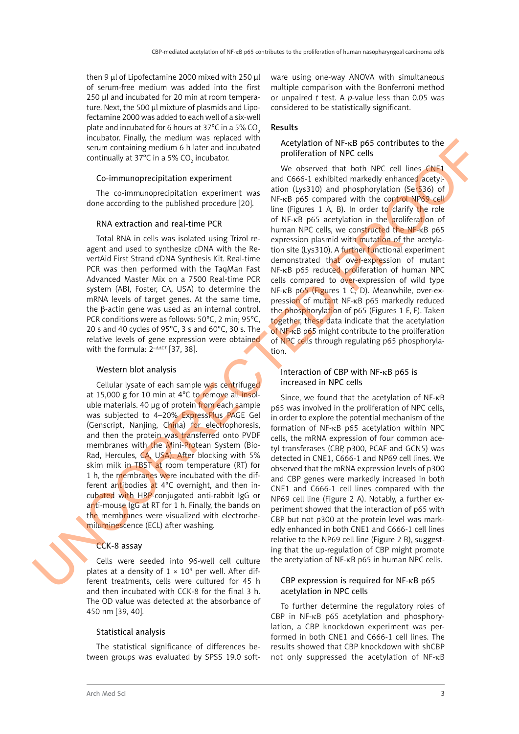then 9  $\mu$  of Lipofectamine 2000 mixed with 250  $\mu$ of serum-free medium was added into the first 250 µl and incubated for 20 min at room temperature. Next, the 500 µl mixture of plasmids and Lipofectamine 2000 was added to each well of a six-well plate and incubated for 6 hours at  $37^{\circ}$ C in a 5% CO. incubator. Finally, the medium was replaced with serum containing medium 6 h later and incubated continually at 37°C in a 5% CO<sub>2</sub> incubator.

#### Co-immunoprecipitation experiment

The co-immunoprecipitation experiment was done according to the published procedure [20].

#### RNA extraction and real-time PCR

Total RNA in cells was isolated using Trizol reagent and used to synthesize cDNA with the RevertAid First Strand cDNA Synthesis Kit. Real-time PCR was then performed with the TaqMan Fast Advanced Master Mix on a 7500 Real-time PCR system (ABI, Foster, CA, USA) to determine the mRNA levels of target genes. At the same time, the β-actin gene was used as an internal control. PCR conditions were as follows: 50°C, 2 min; 95°C, 20 s and 40 cycles of 95°C, 3 s and 60°C, 30 s. The relative levels of gene expression were obtained with the formula:  $2^{-\Delta\Delta CI}$  [37, 38].

#### Western blot analysis

Cellular lysate of each sample was centrifuged at 15,000 g for 10 min at 4°C to remove all insoluble materials. 40 μg of protein from each sample was subjected to 4–20% ExpressPlus PAGE Gel (Genscript, Nanjing, China) for electrophoresis, and then the protein was transferred onto PVDF membranes with the Mini-Protean System (Bio-Rad, Hercules, CA, USA). After blocking with 5% skim milk in TBST at room temperature (RT) for 1 h, the membranes were incubated with the different antibodies at 4°C overnight, and then incubated with HRP-conjugated anti-rabbit IgG or anti-mouse IgG at RT for 1 h. Finally, the bands on the membranes were visualized with electrochemiluminescence (ECL) after washing.

#### CCK-8 assay

Cells were seeded into 96-well cell culture plates at a density of  $1 \times 10^4$  per well. After different treatments, cells were cultured for 45 h and then incubated with CCK-8 for the final 3 h. The OD value was detected at the absorbance of 450 nm [39, 40].

#### Statistical analysis

The statistical significance of differences between groups was evaluated by SPSS 19.0 software using one-way ANOVA with simultaneous multiple comparison with the Bonferroni method or unpaired *t* test. A *p*-value less than 0.05 was considered to be statistically significant.

## Results

## Acetylation of NF-κB p65 contributes to the proliferation of NPC cells

We observed that both NPC cell lines CNE1 and C666-1 exhibited markedly enhanced acetylation (Lys310) and phosphorylation (Ser $536$ ) of NF-κB p65 compared with the control NP69 cell line (Figures 1 A, B). In order to clarify the role of NF-κB p65 acetylation in the proliferation of human NPC cells, we constructed the NF-κB p65 expression plasmid with mutation of the acetylation site (Lys310). A further functional experiment demonstrated that over-expression of mutant NF-κB p65 reduced proliferation of human NPC cells compared to over-expression of wild type NF-κB p65 (Figures 1 C, D). Meanwhile, over-expression of mutant NF-κB p65 markedly reduced the phosphorylation of p65 (Figures 1 E, F). Taken together, these data indicate that the acetylation of NF-κB p65 might contribute to the proliferation of NPC cells through regulating p65 phosphorylation. some controlling method of the same than the same of the same of the same of the same of the same of the same of the same of the same of the same of the same of the same of the same of the same of the same of the same of

## Interaction of CBP with NF-κB p65 is increased in NPC cells

Since, we found that the acetylation of NF-κB p65 was involved in the proliferation of NPC cells, in order to explore the potential mechanism of the formation of NF-κB p65 acetylation within NPC cells, the mRNA expression of four common acetyl transferases (CBP, p300, PCAF and GCN5) was detected in CNE1, C666-1 and NP69 cell lines. We observed that the mRNA expression levels of p300 and CBP genes were markedly increased in both CNE1 and C666-1 cell lines compared with the NP69 cell line (Figure 2 A). Notably, a further experiment showed that the interaction of p65 with CBP but not p300 at the protein level was markedly enhanced in both CNE1 and C666-1 cell lines relative to the NP69 cell line (Figure 2 B), suggesting that the up-regulation of CBP might promote the acetylation of NF-κB p65 in human NPC cells.

## CBP expression is required for NF-κB p65 acetylation in NPC cells

To further determine the regulatory roles of CBP in NF-κB p65 acetylation and phosphorylation, a CBP knockdown experiment was performed in both CNE1 and C666-1 cell lines. The results showed that CBP knockdown with shCBP not only suppressed the acetylation of NF-κB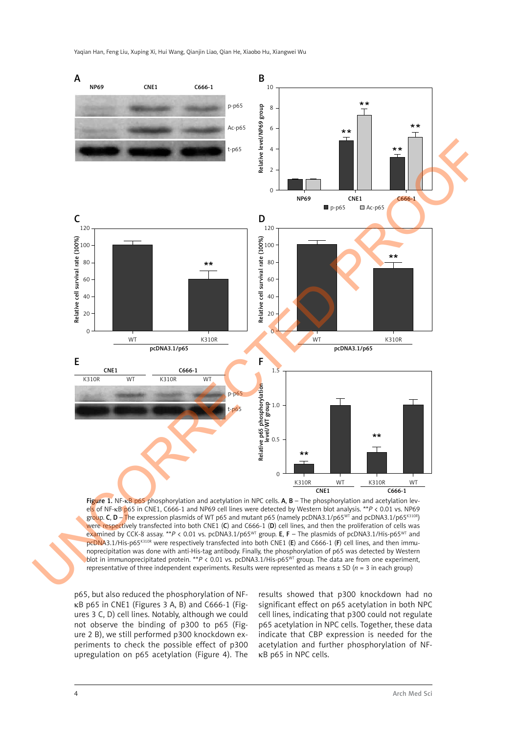Yaqian Han, Feng Liu, Xuping Xi, Hui Wang, Qianjin Liao, Qian He, Xiaobo Hu, Xiangwei Wu



Figure 1. NF-KB p65 phosphorylation and acetylation in NPC cells. A, B - The phosphorylation and acetylation levels of NF-κB p65 in CNE1, C666-1 and NP69 cell lines were detected by Western blot analysis. \*\**P* < 0.01 vs. NP69 group. C, D – The expression plasmids of WT p65 and mutant p65 (namely pcDNA3.1/p65<sup>WT</sup> and pcDNA3.1/p65<sup>K310R</sup>) were respectively transfected into both CNE1 (C) and C666-1 (D) cell lines, and then the proliferation of cells was examined by CCK-8 assay. \*\**P* < 0.01 vs. pcDNA3.1/p65WT group. E, F – The plasmids of pcDNA3.1/His-p65WT and pcDNA3.1/His-p65K310R were respectively transfected into both CNE1 (E) and C666-1 (F) cell lines, and then immunoprecipitation was done with anti-His-tag antibody. Finally, the phosphorylation of p65 was detected by Western blot in immunoprecipitated protein. \*\**P* < 0.01 vs. pcDNA3.1/His-p65WT group. The data are from one experiment, representative of three independent experiments. Results were represented as means  $\pm$  SD ( $n = 3$  in each group)

p65, but also reduced the phosphorylation of NFκB p65 in CNE1 (Figures 3 A, B) and C666-1 (Figures 3 C, D) cell lines. Notably, although we could not observe the binding of p300 to p65 (Figure 2 B), we still performed p300 knockdown experiments to check the possible effect of p300 upregulation on p65 acetylation (Figure 4). The

results showed that p300 knockdown had no significant effect on p65 acetylation in both NPC cell lines, indicating that p300 could not regulate p65 acetylation in NPC cells. Together, these data indicate that CBP expression is needed for the acetylation and further phosphorylation of NFκB p65 in NPC cells.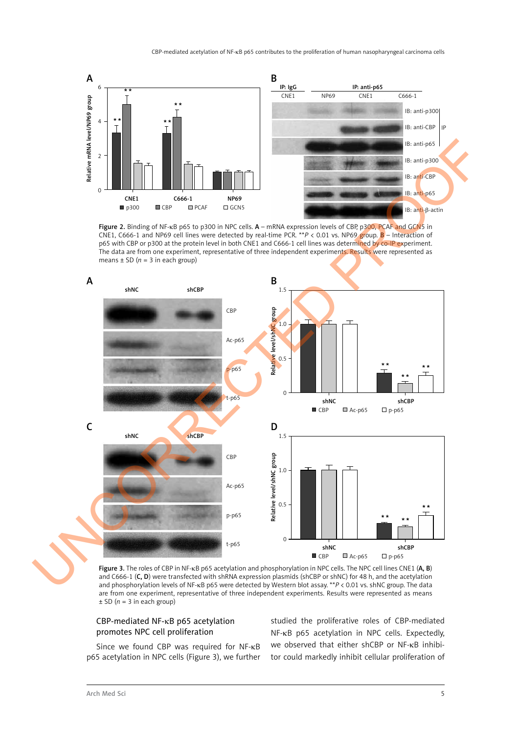

Figure 2. Binding of NF-κB p65 to p300 in NPC cells. A – mRNA expression levels of CBP, p300, PCAF and GCN5 in CNE1, C666-1 and NP69 cell lines were detected by real-time PCR. \*\**P* < 0.01 vs. NP69 group. B – Interaction of p65 with CBP or p300 at the protein level in both CNE1 and C666-1 cell lines was determined by co-IP experiment. The data are from one experiment, representative of three independent experiments. Results were represented as means  $\pm$  SD ( $n = 3$  in each group)



Figure 3. The roles of CBP in NF-kB p65 acetylation and phosphorylation in NPC cells. The NPC cell lines CNE1 (A, B) and C666-1 (C, D) were transfected with shRNA expression plasmids (shCBP or shNC) for 48 h, and the acetylation and phosphorylation levels of NF-κB p65 were detected by Western blot assay. \*\**P* < 0.01 vs. shNC group. The data are from one experiment, representative of three independent experiments. Results were represented as means  $\pm$  SD ( $n = 3$  in each group)

## CBP-mediated NF-κB p65 acetylation promotes NPC cell proliferation

Since we found CBP was required for NF-κB p65 acetylation in NPC cells (Figure 3), we further studied the proliferative roles of CBP-mediated NF-κB p65 acetylation in NPC cells. Expectedly, we observed that either shCBP or NF-κB inhibitor could markedly inhibit cellular proliferation of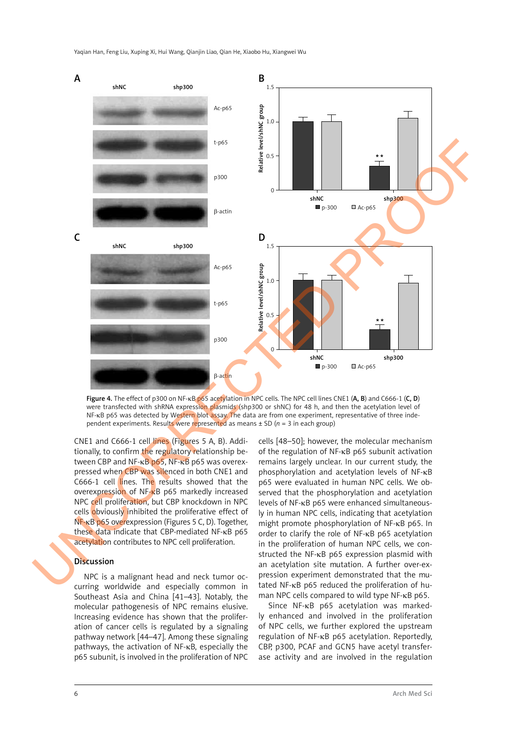

Figure 4. The effect of p300 on NF-κB p65 acetylation in NPC cells. The NPC cell lines CNE1 (A, B) and C666-1 (C, D) were transfected with shRNA expression plasmids (shp300 or shNC) for 48 h, and then the acetylation level of NF-κB p65 was detected by Western blot assay. The data are from one experiment, representative of three independent experiments. Results were represented as means  $\pm$  SD ( $n = 3$  in each group)

CNE1 and C666-1 cell lines (Figures 5 A, B). Additionally, to confirm the regulatory relationship between CBP and NF-κB p65, NF-κB p65 was overexpressed when CBP was silenced in both CNE1 and C666-1 cell lines. The results showed that the overexpression of NF-κB p65 markedly increased NPC cell proliferation, but CBP knockdown in NPC cells obviously inhibited the proliferative effect of NF-κB p65 overexpression (Figures 5 C, D). Together, these data indicate that CBP-mediated NF-κB p65 acetylation contributes to NPC cell proliferation.

## Discussion

NPC is a malignant head and neck tumor occurring worldwide and especially common in Southeast Asia and China [41–43]. Notably, the molecular pathogenesis of NPC remains elusive. Increasing evidence has shown that the proliferation of cancer cells is regulated by a signaling pathway network [44–47]. Among these signaling pathways, the activation of NF-κB, especially the p65 subunit, is involved in the proliferation of NPC

cells [48–50]; however, the molecular mechanism of the regulation of NF-κB p65 subunit activation remains largely unclear. In our current study, the phosphorylation and acetylation levels of NF-κB p65 were evaluated in human NPC cells. We observed that the phosphorylation and acetylation levels of NF-κB p65 were enhanced simultaneously in human NPC cells, indicating that acetylation might promote phosphorylation of NF-κB p65. In order to clarify the role of NF-κB p65 acetylation in the proliferation of human NPC cells, we constructed the NF-κB p65 expression plasmid with an acetylation site mutation. A further over-expression experiment demonstrated that the mutated NF-κB p65 reduced the proliferation of human NPC cells compared to wild type NF-κB p65.

Since NF-κB p65 acetylation was markedly enhanced and involved in the proliferation of NPC cells, we further explored the upstream regulation of NF-κB p65 acetylation. Reportedly, CBP, p300, PCAF and GCN5 have acetyl transferase activity and are involved in the regulation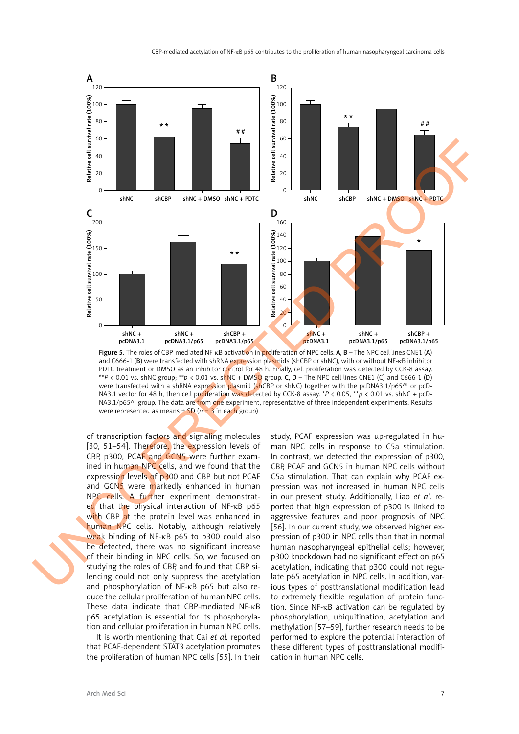

Figure 5. The roles of CBP-mediated NF-<sub>K</sub>B activation in proliferation of NPC cells. A, B – The NPC cell lines CNE1 (A) and C666-1 (B) were transfected with shRNA expression plasmids (shCBP or shNC), with or without NF-κB inhibitor PDTC treatment or DMSO as an inhibitor control for 48 h. Finally, cell proliferation was detected by CCK-8 assay. \*\**P* < 0.01 vs. shNC group;  $^{**}p$  < 0.01 vs. shNC + DMSO group. C, D – The NPC cell lines CNE1 (C) and C666-1 (D) were transfected with a shRNA expression plasmid (shCBP or shNC) together with the pcDNA3.1/p65<sup>WT</sup> or pcD-NA3.1 vector for 48 h, then cell proliferation was detected by CCK-8 assay. \**P* < 0.05, \*\**p* < 0.01 vs. shNC + pcD-NA3.1/p65<sup>WT</sup> group. The data are from one experiment, representative of three independent experiments. Results were represented as means  $\pm$  SD ( $n = 3$  in each group)

of transcription factors and signaling molecules [30, 51-54]. Therefore, the expression levels of CBP, p300, PCAF and GCN5 were further examined in human NPC cells, and we found that the expression levels of p300 and CBP but not PCAF and GCN5 were markedly enhanced in human NPC cells. A further experiment demonstrated that the physical interaction of NF-κB p65 with CBP at the protein level was enhanced in human NPC cells. Notably, although relatively weak binding of NF-κB p65 to p300 could also be detected, there was no significant increase of their binding in NPC cells. So, we focused on studying the roles of CBP, and found that CBP silencing could not only suppress the acetylation and phosphorylation of NF-κB p65 but also reduce the cellular proliferation of human NPC cells. These data indicate that CBP-mediated NF-κB p65 acetylation is essential for its phosphorylation and cellular proliferation in human NPC cells.

It is worth mentioning that Cai *et al.* reported that PCAF-dependent STAT3 acetylation promotes the proliferation of human NPC cells [55]. In their study, PCAF expression was up-regulated in human NPC cells in response to C5a stimulation. In contrast, we detected the expression of p300, CBP, PCAF and GCN5 in human NPC cells without C5a stimulation. That can explain why PCAF expression was not increased in human NPC cells in our present study. Additionally, Liao *et al.* reported that high expression of p300 is linked to aggressive features and poor prognosis of NPC [56]. In our current study, we observed higher expression of p300 in NPC cells than that in normal human nasopharyngeal epithelial cells; however, p300 knockdown had no significant effect on p65 acetylation, indicating that p300 could not regulate p65 acetylation in NPC cells. In addition, various types of posttranslational modification lead to extremely flexible regulation of protein function. Since NF-κB activation can be regulated by phosphorylation, ubiquitination, acetylation and methylation [57–59], further research needs to be performed to explore the potential interaction of these different types of posttranslational modification in human NPC cells.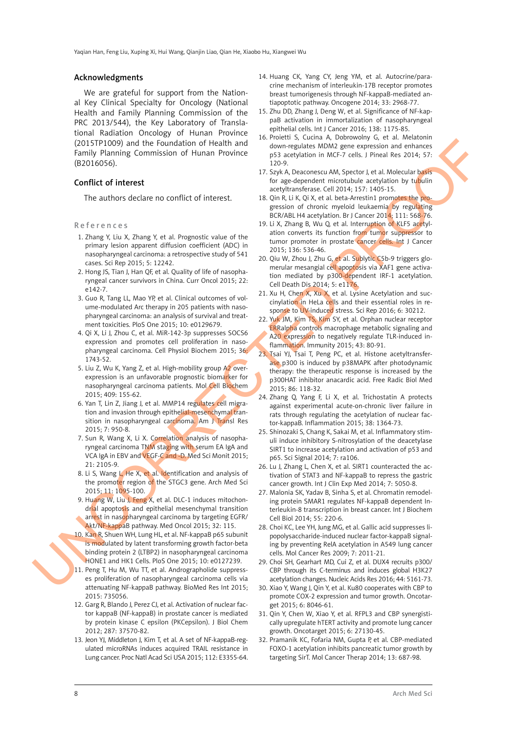#### Acknowledgments

We are grateful for support from the National Key Clinical Specialty for Oncology (National Health and Family Planning Commission of the PRC 2013/544), the Key Laboratory of Translational Radiation Oncology of Hunan Province (2015TP1009) and the Foundation of Health and Family Planning Commission of Hunan Province (B2016056).

#### Conflict of interest

The authors declare no conflict of interest.

### References

- 1. Zhang Y, Liu X, Zhang Y, et al. Prognostic value of the primary lesion apparent diffusion coefficient (ADC) in nasopharyngeal carcinoma: a retrospective study of 541 cases. Sci Rep 2015; 5: 12242.
- 2. Hong JS, Tian J, Han QF, et al. Quality of life of nasopharyngeal cancer survivors in China. Curr Oncol 2015; 22: e142-7.
- 3. Guo R, Tang LL, Mao YP, et al. Clinical outcomes of volume-modulated Arc therapy in 205 patients with nasopharyngeal carcinoma: an analysis of survival and treatment toxicities. PloS One 2015; 10: e0129679.
- 4. Qi X, Li J, Zhou C, et al. MiR-142-3p suppresses SOCS6 expression and promotes cell proliferation in nasopharyngeal carcinoma. Cell Physiol Biochem 2015; 36: 1743-52.
- 5. Liu Z, Wu K, Yang Z, et al. High-mobility group A2 overexpression is an unfavorable prognostic biomarker for nasopharyngeal carcinoma patients. Mol Cell Biochem 2015; 409: 155-62.
- 6. Yan T, Lin Z, Jiang J, et al. MMP14 regulates cell migration and invasion through epithelial-mesenchymal transition in nasopharyngeal carcinoma. Am J Transl Res 2015; 7: 950-8.
- 7. Sun R, Wang X, Li X. Correlation analysis of nasopharyngeal carcinoma TNM staging with serum EA IgA and VCA IgA in EBV and VEGF-C and -D. Med Sci Monit 2015; 21: 2105-9.
- 8. Li S, Wang L, He X, et al. Identification and analysis of the promoter region of the STGC3 gene. Arch Med Sci 2015; 11: 1095-100.
- 9. Huang W, Liu J, Feng X, et al. DLC-1 induces mitochondrial apoptosis and epithelial mesenchymal transition arrest in nasopharyngeal carcinoma by targeting EGFR/ Akt/NF-kappaB pathway. Med Oncol 2015; 32: 115.
- 10. Kan R, Shuen WH, Lung HL, et al. NF-kappaB p65 subunit is modulated by latent transforming growth factor-beta binding protein 2 (LTBP2) in nasopharyngeal carcinoma HONE1 and HK1 Cells. PloS One 2015; 10: e0127239.
- 11. Peng T, Hu M, Wu TT, et al. Andrographolide suppresses proliferation of nasopharyngeal carcinoma cells via attenuating NF-kappaB pathway. BioMed Res Int 2015; 2015: 735056.
- 12. Garg R, Blando J, Perez CJ, et al. Activation of nuclear factor kappaB (NF-kappaB) in prostate cancer is mediated by protein kinase C epsilon (PKCepsilon). J Biol Chem 2012; 287: 37570-82.
- 13. Jeon YJ, Middleton J, Kim T, et al. A set of NF-kappaB-regulated microRNAs induces acquired TRAIL resistance in Lung cancer. Proc Natl Acad Sci USA 2015; 112: E3355-64.
- 14. Huang CK, Yang CY, Jeng YM, et al. Autocrine/paracrine mechanism of interleukin-17B receptor promotes breast tumorigenesis through NF-kappaB-mediated antiapoptotic pathway. Oncogene 2014; 33: 2968-77.
- 15. Zhu DD, Zhang J, Deng W, et al. Significance of NF-kappaB activation in immortalization of nasopharyngeal epithelial cells. Int J Cancer 2016; 138: 1175-85.
- 16. Proietti S, Cucina A, Dobrowolny G, et al. Melatonin down-regulates MDM2 gene expression and enhances p53 acetylation in MCF-7 cells. J Pineal Res 2014; 57: 120-9.
- 17. Szyk A, Deaconescu AM, Spector J, et al. Molecular basis for age-dependent microtubule acetylation by tubulin acetyltransferase. Cell 2014; 157: 1405-15.
- 18. Qin R, Li K, Qi X, et al. beta-Arrestin1 promotes the progression of chronic myeloid leukaemia by regulating BCR/ABL H4 acetylation. Br J Cancer 2014; 111: 568-76.
- 19. Li X, Zhang B, Wu Q, et al. Interruption of KLF5 acetylation converts its function from tumor suppressor to tumor promoter in prostate cancer cells. Int J Cancer 2015; 136: 536-46.
- 20. Qiu W, Zhou J, Zhu G, et al. Sublytic C5b-9 triggers glomerular mesangial cell apoptosis via XAF1 gene activation mediated by p300-dependent IRF-1 acetylation. Cell Death Dis 2014; 5: e1176.
- 21. Xu H, Chen X, Xu X, et al. Lysine Acetylation and succinylation in HeLa cells and their essential roles in response to UV-induced stress. Sci Rep 2016; 6: 30212.
- 22. Yuk JM, Kim TS, Kim SY, et al. Orphan nuclear receptor ERRalpha controls macrophage metabolic signaling and A20 expression to negatively regulate TLR-induced inflammation. Immunity 2015; 43: 80-91.
- 23. Tsai YJ, Tsai T, Peng PC, et al. Histone acetyltransferase p300 is induced by p38MAPK after photodynamic therapy: the therapeutic response is increased by the p300HAT inhibitor anacardic acid. Free Radic Biol Med 2015; 86: 118-32. COLUMN THE Fourier Constitution of Highlich Michael Monte (1991). The specific term is constructed to the construction of the specific term is a specific of the specific of the specific of the specific of the specific of
	- 24. Zhang Q, Yang F, Li X, et al. Trichostatin A protects against experimental acute-on-chronic liver failure in rats through regulating the acetylation of nuclear factor-kappaB. Inflammation 2015; 38: 1364-73.
	- 25. Shinozaki S, Chang K, Sakai M, et al. Inflammatory stimuli induce inhibitory S-nitrosylation of the deacetylase SIRT1 to increase acetylation and activation of p53 and p65. Sci Signal 2014; 7: ra106.
	- 26. Lu J, Zhang L, Chen X, et al. SIRT1 counteracted the activation of STAT3 and NF-kappaB to repress the gastric cancer growth. Int J Clin Exp Med 2014; 7: 5050-8.
	- 27. Malonia SK, Yadav B, Sinha S, et al. Chromatin remodeling protein SMAR1 regulates NF-kappaB dependent Interleukin-8 transcription in breast cancer. Int J Biochem Cell Biol 2014; 55: 220-6.
	- 28. Choi KC, Lee YH, Jung MG, et al. Gallic acid suppresses lipopolysaccharide-induced nuclear factor-kappaB signaling by preventing RelA acetylation in A549 lung cancer cells. Mol Cancer Res 2009; 7: 2011-21.
	- 29. Choi SH, Gearhart MD, Cui Z, et al. DUX4 recruits p300/ CBP through its C-terminus and induces global H3K27 acetylation changes. Nucleic Acids Res 2016; 44: 5161-73.
	- 30. Xiao Y, Wang J, Qin Y, et al. Ku80 cooperates with CBP to promote COX-2 expression and tumor growth. Oncotarget 2015; 6: 8046-61.
	- 31. Qin Y, Chen W, Xiao Y, et al. RFPL3 and CBP synergistically upregulate hTERT activity and promote lung cancer growth. Oncotarget 2015; 6: 27130-45.
	- 32. Pramanik KC, Fofaria NM, Gupta P, et al. CBP-mediated FOXO-1 acetylation inhibits pancreatic tumor growth by targeting SirT. Mol Cancer Therap 2014; 13: 687-98.